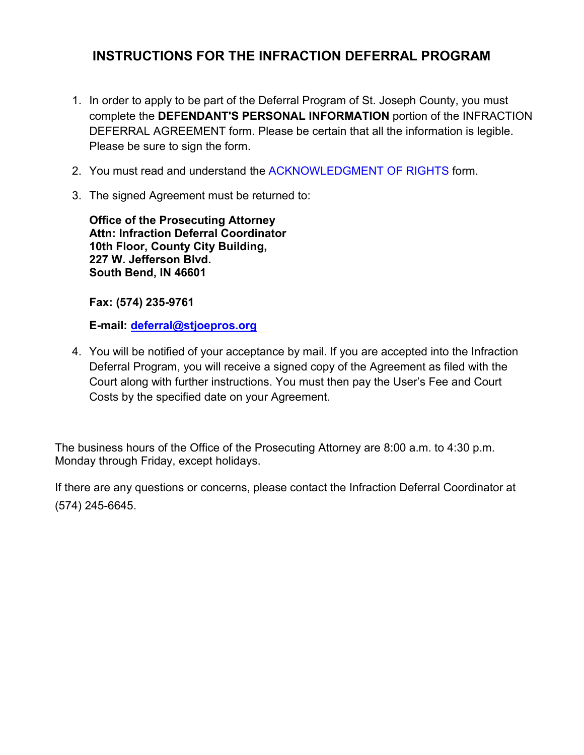# **INSTRUCTIONS FOR THE INFRACTION DEFERRAL PROGRAM**

- 1. In order to apply to be part of the Deferral Program of St. Joseph County, you must complete the **DEFENDANT'S PERSONAL INFORMATION** portion of the INFRACTION DEFERRAL AGREEMENT form. Please be certain that all the information is legible. Please be sure to sign the form.
- 2. You must read and understand the [ACKNOWLEDGMENT OF RIGHTS](http://www.stjoepros.org/Docs/Traffic-and-Misdemeanor/licensesuspension.pdf) form.
- 3. The signed Agreement must be returned to:

**Office of the Prosecuting Attorney Attn: Infraction Deferral Coordinator 10th Floor, County City Building, 227 W. Jefferson Blvd. South Bend, IN 46601** 

**Fax: (574) 235-9761** 

**E-mail: [deferral@stjoepros.org](mailto:deferral@stjoepros.org)**

4. You will be notified of your acceptance by mail. If you are accepted into the Infraction Deferral Program, you will receive a signed copy of the Agreement as filed with the Court along with further instructions. You must then pay the User's Fee and Court Costs by the specified date on your Agreement.

The business hours of the Office of the Prosecuting Attorney are 8:00 a.m. to 4:30 p.m. Monday through Friday, except holidays.

If there are any questions or concerns, please contact the Infraction Deferral Coordinator at (574) 245-6645.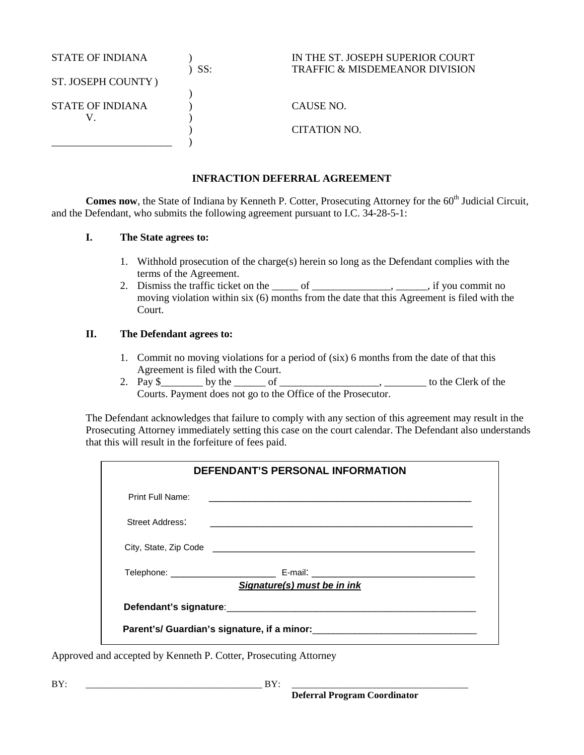| <b>STATE OF INDIANA</b> | SS: | IN THE ST. JOSEPH SUPERIOR COURT<br><b>TRAFFIC &amp; MISDEMEANOR DIVISION</b> |
|-------------------------|-----|-------------------------------------------------------------------------------|
| ST. JOSEPH COUNTY)      |     |                                                                               |
|                         |     |                                                                               |
| <b>STATE OF INDIANA</b> |     | CAUSE NO.                                                                     |
|                         |     |                                                                               |
|                         |     | CITATION NO.                                                                  |
|                         |     |                                                                               |

# **INFRACTION DEFERRAL AGREEMENT**

**Comes now**, the State of Indiana by Kenneth P. Cotter, Prosecuting Attorney for the 60<sup>th</sup> Judicial Circuit, and the Defendant, who submits the following agreement pursuant to I.C. 34-28-5-1:

# **I. The State agrees to:**

- 1. Withhold prosecution of the charge(s) herein so long as the Defendant complies with the terms of the Agreement.
- 2. Dismiss the traffic ticket on the <u>community</u> of <u>containing the same</u>,  $\frac{1}{\sqrt{2}}$ , if you commit no moving violation within six (6) months from the date that this Agreement is filed with the Court.

# **II. The Defendant agrees to:**

- 1. Commit no moving violations for a period of (six) 6 months from the date of that this Agreement is filed with the Court.
- 2. Pay  $\frac{1}{2}$  by the  $\frac{1}{2}$  of  $\frac{1}{2}$  of  $\frac{1}{2}$   $\frac{1}{2}$  to the Clerk of the Courts. Payment does not go to the Office of the Prosecutor.

The Defendant acknowledges that failure to comply with any section of this agreement may result in the Prosecuting Attorney immediately setting this case on the court calendar. The Defendant also understands that this will result in the forfeiture of fees paid.

| <b>DEFENDANT'S PERSONAL INFORMATION</b> |                                                                                                                      |  |
|-----------------------------------------|----------------------------------------------------------------------------------------------------------------------|--|
| Print Full Name:                        | <u> 1989 - Johann John Harry Harry Harry Harry Harry Harry Harry Harry Harry Harry Harry Harry Harry Harry Harry</u> |  |
| Street Address:                         |                                                                                                                      |  |
|                                         |                                                                                                                      |  |
|                                         | Signature(s) must be in ink                                                                                          |  |
|                                         |                                                                                                                      |  |
|                                         |                                                                                                                      |  |
|                                         |                                                                                                                      |  |

Approved and accepted by Kenneth P. Cotter, Prosecuting Attorney

BY: \_\_\_\_\_\_\_\_\_\_\_\_\_\_\_\_\_\_\_\_\_\_\_\_\_\_\_\_\_\_\_\_\_\_\_\_\_ BY: \_\_\_\_\_\_\_\_\_\_\_\_\_\_\_\_\_\_\_\_\_\_\_\_\_\_\_\_\_\_\_\_\_\_\_\_\_  **Deferral Program Coordinator**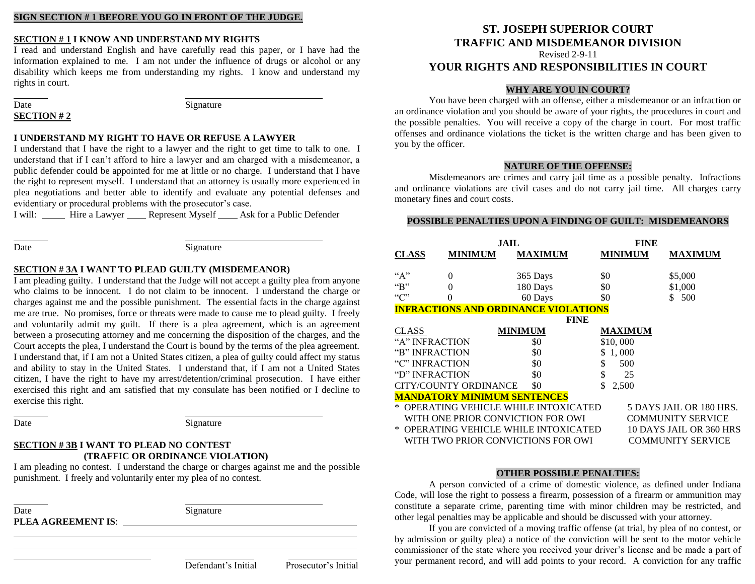## **SIGN SECTION # 1 BEFORE YOU GO IN FRONT OF THE JUDGE.**

# **SECTION # 1 I KNOW AND UNDERSTAND MY RIGHTS**

I read and understand English and have carefully read this paper, or I have had the information explained to me. I am not under the influence of drugs or alcohol or any disability which keeps me from understanding my rights. I know and understand my rights in court.

Date Signature **SECTION # 2**

## **I UNDERSTAND MY RIGHT TO HAVE OR REFUSE A LAWYER**

I understand that I have the right to a lawyer and the right to get time to talk to one. I understand that if I can't afford to hire a lawyer and am charged with a misdemeanor, a public defender could be appointed for me at little or no charge. I understand that I have the right to represent myself. I understand that an attorney is usually more experienced in plea negotiations and better able to identify and evaluate any potential defenses and evidentiary or procedural problems with the prosecutor's case.

I will: Hire a Lawyer Represent Myself Ask for a Public Defender

## Date Signature

## **SECTION # 3A I WANT TO PLEAD GUILTY (MISDEMEANOR)**

I am pleading guilty. I understand that the Judge will not accept a guilty plea from anyone who claims to be innocent. I do not claim to be innocent. I understand the charge or charges against me and the possible punishment. The essential facts in the charge against me are true. No promises, force or threats were made to cause me to plead guilty. I freely and voluntarily admit my guilt. If there is a plea agreement, which is an agreement between a prosecuting attorney and me concerning the disposition of the charges, and the Court accepts the plea, I understand the Court is bound by the terms of the plea agreement. I understand that, if I am not a United States citizen, a plea of guilty could affect my status and ability to stay in the United States. I understand that, if I am not a United States citizen, I have the right to have my arrest/detention/criminal prosecution. I have either exercised this right and am satisfied that my consulate has been notified or I decline to exercise this right.

Date Signature

# **SECTION # 3B I WANT TO PLEAD NO CONTEST (TRAFFIC OR ORDINANCE VIOLATION)**

I am pleading no contest. I understand the charge or charges against me and the possible punishment. I freely and voluntarily enter my plea of no contest.

Date Signature **PLEA AGREEMENT IS**:

Defendant's Initial Prosecutor's Initial

# **ST. JOSEPH SUPERIOR COURT TRAFFIC AND MISDEMEANOR DIVISION**

Revised 2-9-11

# **YOUR RIGHTS AND RESPONSIBILITIES IN COURT**

## **WHY ARE YOU IN COURT?**

You have been charged with an offense, either a misdemeanor or an infraction or an ordinance violation and you should be aware of your rights, the procedures in court and the possible penalties. You will receive a copy of the charge in court. For most traffic offenses and ordinance violations the ticket is the written charge and has been given to you by the officer.

### **NATURE OF THE OFFENSE:**

Misdemeanors are crimes and carry jail time as a possible penalty. Infractions and ordinance violations are civil cases and do not carry jail time. All charges carry monetary fines and court costs.

## **POSSIBLE PENALTIES UPON A FINDING OF GUILT: MISDEMEANORS**

|                            | JAIL                               |                                             | FINE           |                          |  |
|----------------------------|------------------------------------|---------------------------------------------|----------------|--------------------------|--|
| <b>CLASS</b>               | <b>MINIMUM</b>                     | <b>MAXIMUM</b>                              | <b>MINIMUM</b> | <b>MAXIMUM</b>           |  |
| $A^{\prime\prime}$         | $\overline{0}$                     | 365 Days                                    | \$0            | \$5,000                  |  |
| $\mathrm{H}^{\mathrm{op}}$ | 0                                  | 180 Days                                    | \$0            | \$1,000                  |  |
| C                          | $\theta$                           | 60 Days                                     | \$0            | \$ 500                   |  |
|                            |                                    | <b>INFRACTIONS AND ORDINANCE VIOLATIONS</b> |                |                          |  |
|                            |                                    | <b>FINE</b>                                 |                |                          |  |
| <b>CLASS</b>               |                                    | <b>MINIMUM</b>                              | <b>MAXIMUM</b> |                          |  |
| "A" INFRACTION             |                                    | \$0                                         | \$10,000       |                          |  |
| "B" INFRACTION             |                                    | \$0                                         | \$1,000        |                          |  |
| "C" INFRACTION             |                                    | \$0                                         | 500<br>\$      |                          |  |
| "D" INFRACTION             |                                    | \$0                                         | \$<br>25       |                          |  |
|                            | <b>CITY/COUNTY ORDINANCE</b>       | \$0                                         | 2,500          |                          |  |
|                            | <b>MANDATORY MINIMUM SENTENCES</b> |                                             |                |                          |  |
|                            |                                    | * OPERATING VEHICLE WHILE INTOXICATED       |                | 5 DAYS JAIL OR 180 HRS.  |  |
|                            |                                    | WITH ONE PRIOR CONVICTION FOR OWI           |                | <b>COMMUNITY SERVICE</b> |  |
|                            |                                    | * OPERATING VEHICLE WHILE INTOXICATED       |                | 10 DAYS JAIL OR 360 HRS  |  |
|                            |                                    | WITH TWO PRIOR CONVICTIONS FOR OWI          |                | <b>COMMUNITY SERVICE</b> |  |

## **OTHER POSSIBLE PENALTIES:**

A person convicted of a crime of domestic violence, as defined under Indiana Code, will lose the right to possess a firearm, possession of a firearm or ammunition may constitute a separate crime, parenting time with minor children may be restricted, and other legal penalties may be applicable and should be discussed with your attorney.

If you are convicted of a moving traffic offense (at trial, by plea of no contest, or by admission or guilty plea) a notice of the conviction will be sent to the motor vehicle commissioner of the state where you received your driver's license and be made a part of your permanent record, and will add points to your record. A conviction for any traffic